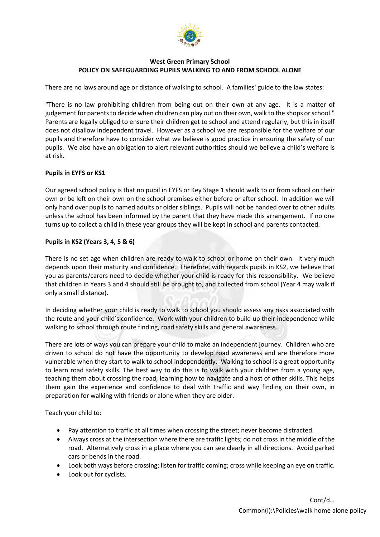

## **West Green Primary School POLICY ON SAFEGUARDING PUPILS WALKING TO AND FROM SCHOOL ALONE**

There are no laws around age or distance of walking to school. A families' guide to the law states:

"There is no law prohibiting children from being out on their own at any age. It is a matter of judgement for parents to decide when children can play out on their own, walk to the shops or school." Parents are legally obliged to ensure their children get to school and attend regularly, but this in itself does not disallow independent travel. However as a school we are responsible for the welfare of our pupils and therefore have to consider what we believe is good practice in ensuring the safety of our pupils. We also have an obligation to alert relevant authorities should we believe a child's welfare is at risk.

## **Pupils in EYFS or KS1**

Our agreed school policy is that no pupil in EYFS or Key Stage 1 should walk to or from school on their own or be left on their own on the school premises either before or after school. In addition we will only hand over pupils to named adults or older siblings. Pupils will not be handed over to other adults unless the school has been informed by the parent that they have made this arrangement. If no one turns up to collect a child in these year groups they will be kept in school and parents contacted.

## **Pupils in KS2 (Years 3, 4, 5 & 6)**

There is no set age when children are ready to walk to school or home on their own. It very much depends upon their maturity and confidence. Therefore, with regards pupils in KS2, we believe that you as parents/carers need to decide whether your child is ready for this responsibility. We believe that children in Years 3 and 4 should still be brought to, and collected from school (Year 4 may walk if only a small distance).

In deciding whether your child is ready to walk to school you should assess any risks associated with the route and your child's confidence. Work with your children to build up their independence while walking to school through route finding, road safety skills and general awareness.

There are lots of ways you can prepare your child to make an independent journey. Children who are driven to school do not have the opportunity to develop road awareness and are therefore more vulnerable when they start to walk to school independently. Walking to school is a great opportunity to learn road safety skills. The best way to do this is to walk with your children from a young age, teaching them about crossing the road, learning how to navigate and a host of other skills. This helps them gain the experience and confidence to deal with traffic and way finding on their own, in preparation for walking with friends or alone when they are older.

Teach your child to:

- Pay attention to traffic at all times when crossing the street; never become distracted.
- Always cross at the intersection where there are traffic lights; do not cross in the middle of the road. Alternatively cross in a place where you can see clearly in all directions. Avoid parked cars or bends in the road.
- Look both ways before crossing; listen for traffic coming; cross while keeping an eye on traffic.
- Look out for cyclists.